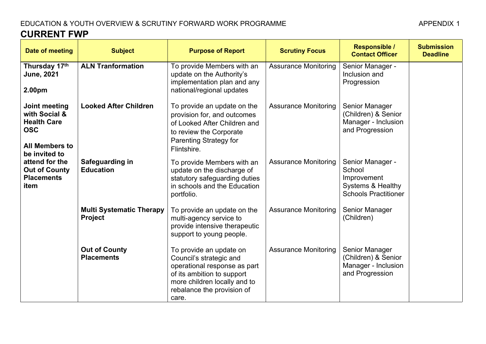# EDUCATION & YOUTH OVERVIEW & SCRUTINY FORWARD WORK PROGRAMME

**Submission**

| <b>CURRENT FWP</b>                 |                              |                                                                                        |                             |                                                  |  |
|------------------------------------|------------------------------|----------------------------------------------------------------------------------------|-----------------------------|--------------------------------------------------|--|
| Date of meeting                    | <b>Subject</b>               | <b>Purpose of Report</b>                                                               | <b>Scrutiny Focus</b>       | <b>Responsible /</b><br><b>Contact Officer</b>   |  |
| Thursday 17th<br><b>June, 2021</b> | <b>ALN Tranformation</b>     | To provide Members with an<br>update on the Authority's<br>implementation plan and any | <b>Assurance Monitoring</b> | Senior Manager -<br>Inclusion and<br>Progression |  |
| 2.00 <sub>pm</sub>                 |                              | national/regional updates                                                              |                             |                                                  |  |
| Joint meeting<br>with Social &     | <b>Looked After Children</b> | To provide an update on the<br>provision for, and outcomes                             | <b>Assurance Monitoring</b> | <b>Senior Manager</b><br>(Children) & Senio      |  |

| Date of meeting                                                                                              | <b>Subject</b>                                    | Purpose of Report                                                                                                                                                                       | <b>SCITUTIITY FOCUS</b>     | <b>Contact Officer</b>                                                                        | <b>Deadline</b> |
|--------------------------------------------------------------------------------------------------------------|---------------------------------------------------|-----------------------------------------------------------------------------------------------------------------------------------------------------------------------------------------|-----------------------------|-----------------------------------------------------------------------------------------------|-----------------|
| Thursday 17th<br><b>June, 2021</b><br>2.00pm                                                                 | <b>ALN Tranformation</b>                          | To provide Members with an<br>update on the Authority's<br>implementation plan and any<br>national/regional updates                                                                     | <b>Assurance Monitoring</b> | Senior Manager -<br>Inclusion and<br>Progression                                              |                 |
| Joint meeting<br>with Social &<br><b>Health Care</b><br><b>OSC</b><br><b>All Members to</b><br>be invited to | <b>Looked After Children</b>                      | To provide an update on the<br>provision for, and outcomes<br>of Looked After Children and<br>to review the Corporate<br><b>Parenting Strategy for</b><br>Flintshire.                   | <b>Assurance Monitoring</b> | Senior Manager<br>(Children) & Senior<br>Manager - Inclusion<br>and Progression               |                 |
| attend for the<br><b>Out of County</b><br><b>Placements</b><br>item                                          | Safeguarding in<br><b>Education</b>               | To provide Members with an<br>update on the discharge of<br>statutory safeguarding duties<br>in schools and the Education<br>portfolio.                                                 | <b>Assurance Monitoring</b> | Senior Manager -<br>School<br>Improvement<br>Systems & Healthy<br><b>Schools Practitioner</b> |                 |
|                                                                                                              | <b>Multi Systematic Therapy</b><br><b>Project</b> | To provide an update on the<br>multi-agency service to<br>provide intensive therapeutic<br>support to young people.                                                                     | <b>Assurance Monitoring</b> | Senior Manager<br>(Children)                                                                  |                 |
|                                                                                                              | <b>Out of County</b><br><b>Placements</b>         | To provide an update on<br>Council's strategic and<br>operational response as part<br>of its ambition to support<br>more children locally and to<br>rebalance the provision of<br>care. | <b>Assurance Monitoring</b> | Senior Manager<br>(Children) & Senior<br>Manager - Inclusion<br>and Progression               |                 |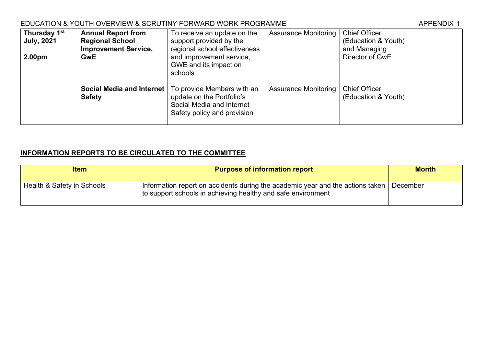## EDUCATION & YOUTH OVERVIEW & SCRUTINY FORWARD WORK PROGRAMME

| Thursday 1 <sup>st</sup><br><b>July, 2021</b> | <b>Annual Report from</b><br><b>Regional School</b><br><b>Improvement Service,</b> | To receive an update on the<br>support provided by the<br>regional school effectiveness                                                                | <b>Assurance Monitoring</b> | <b>Chief Officer</b><br>(Education & Youth)<br>and Managing |  |
|-----------------------------------------------|------------------------------------------------------------------------------------|--------------------------------------------------------------------------------------------------------------------------------------------------------|-----------------------------|-------------------------------------------------------------|--|
| 2.00 <sub>pm</sub>                            | <b>GwE</b>                                                                         | and improvement service,<br>GWE and its impact on<br>schools                                                                                           |                             | Director of GwE                                             |  |
|                                               | <b>Safety</b>                                                                      | <b>Social Media and Internet</b>   To provide Members with an<br>update on the Portfolio's<br>Social Media and Internet<br>Safety policy and provision | <b>Assurance Monitoring</b> | <b>Chief Officer</b><br>(Education & Youth)                 |  |

### **INFORMATION REPORTS TO BE CIRCULATED TO THE COMMITTEE**

| <b>Item</b>                | <b>Purpose of information report</b>                                                                                                                 | <b>Month</b> |
|----------------------------|------------------------------------------------------------------------------------------------------------------------------------------------------|--------------|
| Health & Safety in Schools | Information report on accidents during the academic year and the actions taken<br>$\pm$ to support schools in achieving healthy and safe environment | December     |